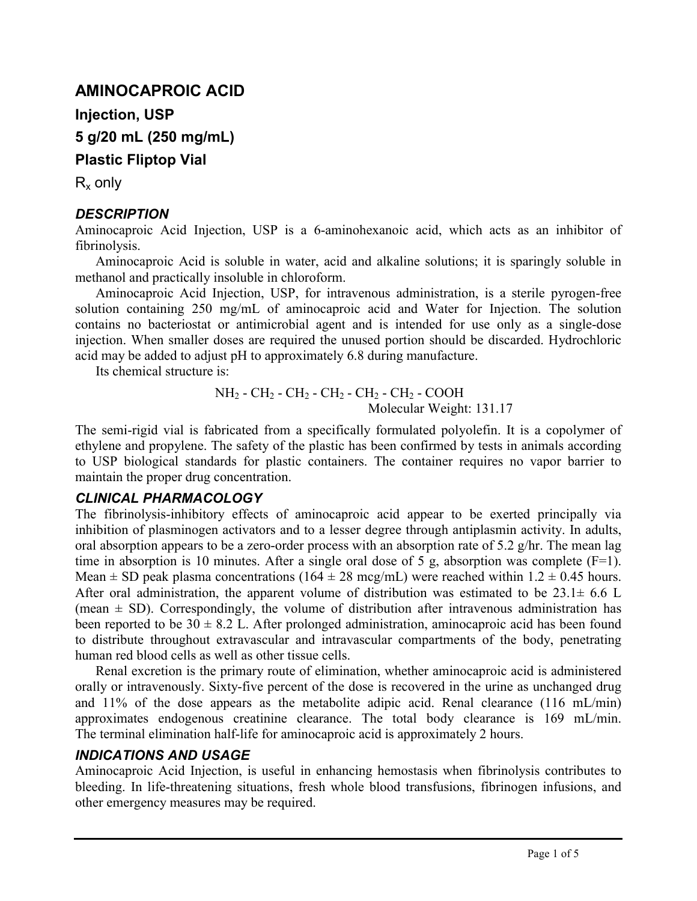# **AMINOCAPROIC ACID**

**Injection, USP**

**5 g/20 mL (250 mg/mL)**

**Plastic Fliptop Vial**

 $R_x$  only

# *DESCRIPTION*

Aminocaproic Acid Injection, USP is a 6-aminohexanoic acid, which acts as an inhibitor of fibrinolysis.

Aminocaproic Acid is soluble in water, acid and alkaline solutions; it is sparingly soluble in methanol and practically insoluble in chloroform.

Aminocaproic Acid Injection, USP, for intravenous administration, is a sterile pyrogen-free solution containing 250 mg/mL of aminocaproic acid and Water for Injection. The solution contains no bacteriostat or antimicrobial agent and is intended for use only as a single-dose injection. When smaller doses are required the unused portion should be discarded. Hydrochloric acid may be added to adjust pH to approximately 6.8 during manufacture.

Its chemical structure is:

$$
NH2 - CH2 - CH2 - CH2 - CH2 - CH2 - COOHMolecular Weight: 131.17
$$

The semi-rigid vial is fabricated from a specifically formulated polyolefin. It is a copolymer of ethylene and propylene. The safety of the plastic has been confirmed by tests in animals according to USP biological standards for plastic containers. The container requires no vapor barrier to maintain the proper drug concentration.

# *CLINICAL PHARMACOLOGY*

The fibrinolysis-inhibitory effects of aminocaproic acid appear to be exerted principally via inhibition of plasminogen activators and to a lesser degree through antiplasmin activity. In adults, oral absorption appears to be a zero-order process with an absorption rate of 5.2 g/hr. The mean lag time in absorption is 10 minutes. After a single oral dose of 5 g, absorption was complete  $(F=1)$ . Mean  $\pm$  SD peak plasma concentrations (164  $\pm$  28 mcg/mL) were reached within 1.2  $\pm$  0.45 hours. After oral administration, the apparent volume of distribution was estimated to be  $23.1 \pm 6.6$  L (mean  $\pm$  SD). Correspondingly, the volume of distribution after intravenous administration has been reported to be  $30 \pm 8.2$  L. After prolonged administration, aminocaproic acid has been found to distribute throughout extravascular and intravascular compartments of the body, penetrating human red blood cells as well as other tissue cells.

Renal excretion is the primary route of elimination, whether aminocaproic acid is administered orally or intravenously. Sixty-five percent of the dose is recovered in the urine as unchanged drug and 11% of the dose appears as the metabolite adipic acid. Renal clearance (116 mL/min) approximates endogenous creatinine clearance. The total body clearance is 169 mL/min. The terminal elimination half-life for aminocaproic acid is approximately 2 hours.

# *INDICATIONS AND USAGE*

Aminocaproic Acid Injection, is useful in enhancing hemostasis when fibrinolysis contributes to bleeding. In life-threatening situations, fresh whole blood transfusions, fibrinogen infusions, and other emergency measures may be required.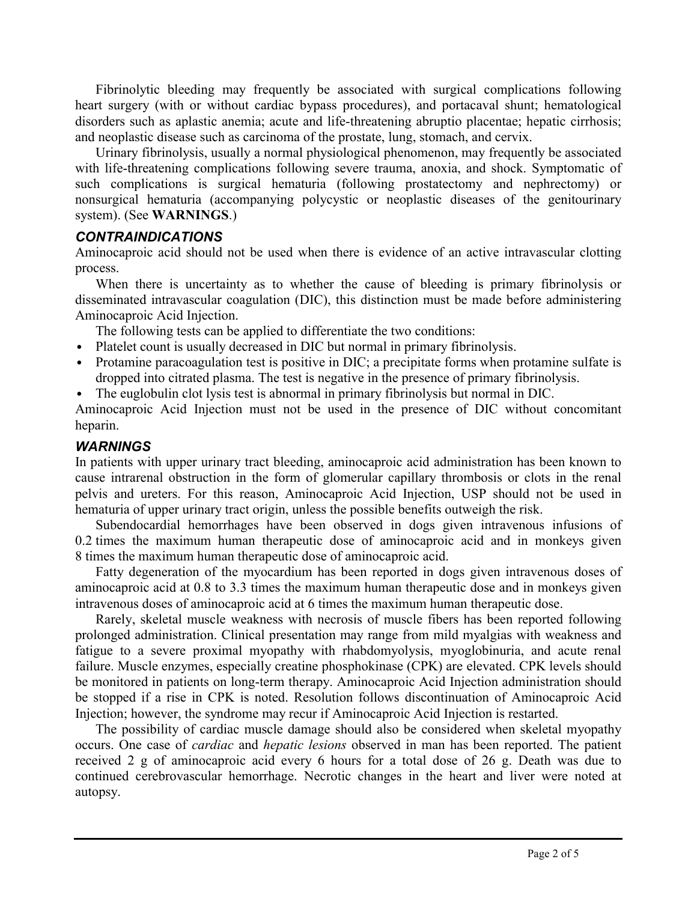Fibrinolytic bleeding may frequently be associated with surgical complications following heart surgery (with or without cardiac bypass procedures), and portacaval shunt; hematological disorders such as aplastic anemia; acute and life-threatening abruptio placentae; hepatic cirrhosis; and neoplastic disease such as carcinoma of the prostate, lung, stomach, and cervix.

Urinary fibrinolysis, usually a normal physiological phenomenon, may frequently be associated with life-threatening complications following severe trauma, anoxia, and shock. Symptomatic of such complications is surgical hematuria (following prostatectomy and nephrectomy) or nonsurgical hematuria (accompanying polycystic or neoplastic diseases of the genitourinary system). (See **WARNINGS**.)

## *CONTRAINDICATIONS*

Aminocaproic acid should not be used when there is evidence of an active intravascular clotting process.

When there is uncertainty as to whether the cause of bleeding is primary fibrinolysis or disseminated intravascular coagulation (DIC), this distinction must be made before administering Aminocaproic Acid Injection.

The following tests can be applied to differentiate the two conditions:

- ∙ Platelet count is usually decreased in DIC but normal in primary fibrinolysis.
- ∙ Protamine paracoagulation test is positive in DIC; a precipitate forms when protamine sulfate is dropped into citrated plasma. The test is negative in the presence of primary fibrinolysis.
- ∙ The euglobulin clot lysis test is abnormal in primary fibrinolysis but normal in DIC.

Aminocaproic Acid Injection must not be used in the presence of DIC without concomitant heparin.

# *WARNINGS*

In patients with upper urinary tract bleeding, aminocaproic acid administration has been known to cause intrarenal obstruction in the form of glomerular capillary thrombosis or clots in the renal pelvis and ureters. For this reason, Aminocaproic Acid Injection, USP should not be used in hematuria of upper urinary tract origin, unless the possible benefits outweigh the risk.

Subendocardial hemorrhages have been observed in dogs given intravenous infusions of 0.2 times the maximum human therapeutic dose of aminocaproic acid and in monkeys given 8 times the maximum human therapeutic dose of aminocaproic acid.

Fatty degeneration of the myocardium has been reported in dogs given intravenous doses of aminocaproic acid at 0.8 to 3.3 times the maximum human therapeutic dose and in monkeys given intravenous doses of aminocaproic acid at 6 times the maximum human therapeutic dose.

Rarely, skeletal muscle weakness with necrosis of muscle fibers has been reported following prolonged administration. Clinical presentation may range from mild myalgias with weakness and fatigue to a severe proximal myopathy with rhabdomyolysis, myoglobinuria, and acute renal failure. Muscle enzymes, especially creatine phosphokinase (CPK) are elevated. CPK levels should be monitored in patients on long-term therapy. Aminocaproic Acid Injection administration should be stopped if a rise in CPK is noted. Resolution follows discontinuation of Aminocaproic Acid Injection; however, the syndrome may recur if Aminocaproic Acid Injection is restarted.

The possibility of cardiac muscle damage should also be considered when skeletal myopathy occurs. One case of *cardiac* and *hepatic lesions* observed in man has been reported. The patient received 2 g of aminocaproic acid every 6 hours for a total dose of 26 g. Death was due to continued cerebrovascular hemorrhage. Necrotic changes in the heart and liver were noted at autopsy.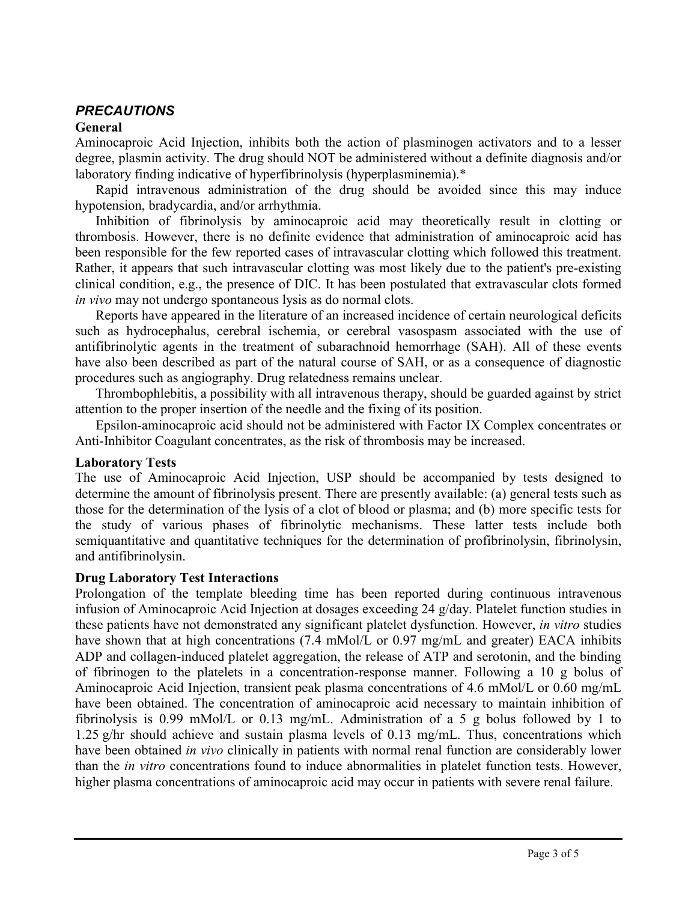# *PRECAUTIONS*

#### **General**

Aminocaproic Acid Injection, inhibits both the action of plasminogen activators and to a lesser degree, plasmin activity. The drug should NOT be administered without a definite diagnosis and/or laboratory finding indicative of hyperfibrinolysis (hyperplasminemia).\*

Rapid intravenous administration of the drug should be avoided since this may induce hypotension, bradycardia, and/or arrhythmia.

Inhibition of fibrinolysis by aminocaproic acid may theoretically result in clotting or thrombosis. However, there is no definite evidence that administration of aminocaproic acid has been responsible for the few reported cases of intravascular clotting which followed this treatment. Rather, it appears that such intravascular clotting was most likely due to the patient's pre-existing clinical condition, e.g., the presence of DIC. It has been postulated that extravascular clots formed *in vivo* may not undergo spontaneous lysis as do normal clots.

Reports have appeared in the literature of an increased incidence of certain neurological deficits such as hydrocephalus, cerebral ischemia, or cerebral vasospasm associated with the use of antifibrinolytic agents in the treatment of subarachnoid hemorrhage (SAH). All of these events have also been described as part of the natural course of SAH, or as a consequence of diagnostic procedures such as angiography. Drug relatedness remains unclear.

Thrombophlebitis, a possibility with all intravenous therapy, should be guarded against by strict attention to the proper insertion of the needle and the fixing of its position.

Epsilon-aminocaproic acid should not be administered with Factor IX Complex concentrates or Anti-Inhibitor Coagulant concentrates, as the risk of thrombosis may be increased.

### **Laboratory Tests**

The use of Aminocaproic Acid Injection, USP should be accompanied by tests designed to determine the amount of fibrinolysis present. There are presently available: (a) general tests such as those for the determination of the lysis of a clot of blood or plasma; and (b) more specific tests for the study of various phases of fibrinolytic mechanisms. These latter tests include both semiquantitative and quantitative techniques for the determination of profibrinolysin, fibrinolysin, and antifibrinolysin.

### **Drug Laboratory Test Interactions**

Prolongation of the template bleeding time has been reported during continuous intravenous infusion of Aminocaproic Acid Injection at dosages exceeding 24 g/day. Platelet function studies in these patients have not demonstrated any significant platelet dysfunction. However, *in vitro* studies have shown that at high concentrations (7.4 mMol/L or 0.97 mg/mL and greater) EACA inhibits ADP and collagen-induced platelet aggregation, the release of ATP and serotonin, and the binding of fibrinogen to the platelets in a concentration-response manner. Following a 10 g bolus of Aminocaproic Acid Injection, transient peak plasma concentrations of 4.6 mMol/L or 0.60 mg/mL have been obtained. The concentration of aminocaproic acid necessary to maintain inhibition of fibrinolysis is 0.99 mMol/L or 0.13 mg/mL. Administration of a 5 g bolus followed by 1 to 1.25 g/hr should achieve and sustain plasma levels of 0.13 mg/mL. Thus, concentrations which have been obtained *in vivo* clinically in patients with normal renal function are considerably lower than the *in vitro* concentrations found to induce abnormalities in platelet function tests. However, higher plasma concentrations of aminocaproic acid may occur in patients with severe renal failure.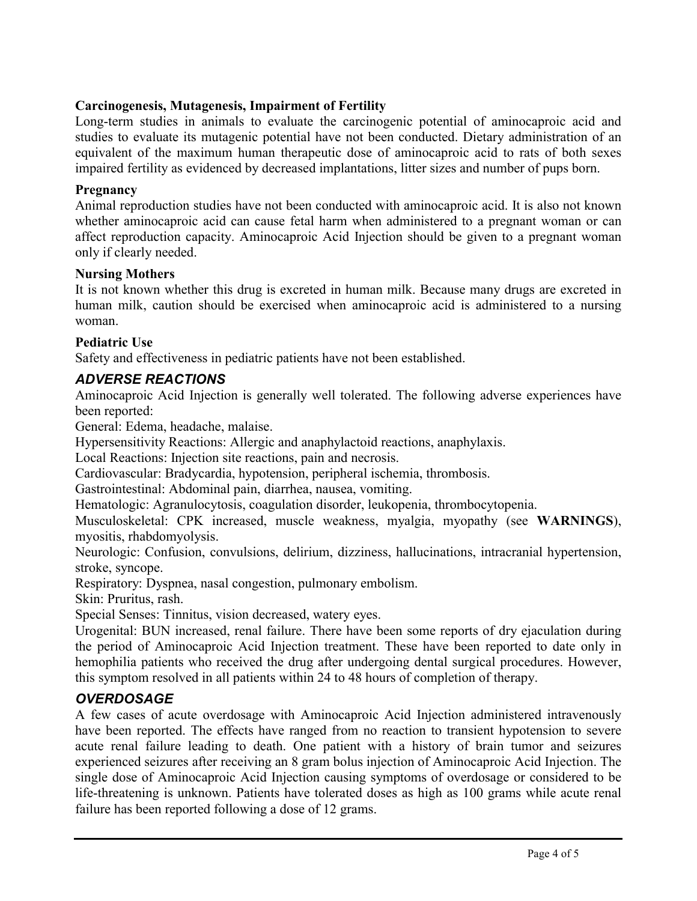## **Carcinogenesis, Mutagenesis, Impairment of Fertility**

Long-term studies in animals to evaluate the carcinogenic potential of aminocaproic acid and studies to evaluate its mutagenic potential have not been conducted. Dietary administration of an equivalent of the maximum human therapeutic dose of aminocaproic acid to rats of both sexes impaired fertility as evidenced by decreased implantations, litter sizes and number of pups born.

#### **Pregnancy**

Animal reproduction studies have not been conducted with aminocaproic acid. It is also not known whether aminocaproic acid can cause fetal harm when administered to a pregnant woman or can affect reproduction capacity. Aminocaproic Acid Injection should be given to a pregnant woman only if clearly needed.

#### **Nursing Mothers**

It is not known whether this drug is excreted in human milk. Because many drugs are excreted in human milk, caution should be exercised when aminocaproic acid is administered to a nursing woman.

### **Pediatric Use**

Safety and effectiveness in pediatric patients have not been established.

## *ADVERSE REACTIONS*

Aminocaproic Acid Injection is generally well tolerated. The following adverse experiences have been reported:

General: Edema, headache, malaise.

Hypersensitivity Reactions: Allergic and anaphylactoid reactions, anaphylaxis.

Local Reactions: Injection site reactions, pain and necrosis.

Cardiovascular: Bradycardia, hypotension, peripheral ischemia, thrombosis.

Gastrointestinal: Abdominal pain, diarrhea, nausea, vomiting.

Hematologic: Agranulocytosis, coagulation disorder, leukopenia, thrombocytopenia.

Musculoskeletal: CPK increased, muscle weakness, myalgia, myopathy (see **WARNINGS**), myositis, rhabdomyolysis.

Neurologic: Confusion, convulsions, delirium, dizziness, hallucinations, intracranial hypertension, stroke, syncope.

Respiratory: Dyspnea, nasal congestion, pulmonary embolism.

Skin: Pruritus, rash.

Special Senses: Tinnitus, vision decreased, watery eyes.

Urogenital: BUN increased, renal failure. There have been some reports of dry ejaculation during the period of Aminocaproic Acid Injection treatment. These have been reported to date only in hemophilia patients who received the drug after undergoing dental surgical procedures. However, this symptom resolved in all patients within 24 to 48 hours of completion of therapy.

# *OVERDOSAGE*

A few cases of acute overdosage with Aminocaproic Acid Injection administered intravenously have been reported. The effects have ranged from no reaction to transient hypotension to severe acute renal failure leading to death. One patient with a history of brain tumor and seizures experienced seizures after receiving an 8 gram bolus injection of Aminocaproic Acid Injection. The single dose of Aminocaproic Acid Injection causing symptoms of overdosage or considered to be life-threatening is unknown. Patients have tolerated doses as high as 100 grams while acute renal failure has been reported following a dose of 12 grams.